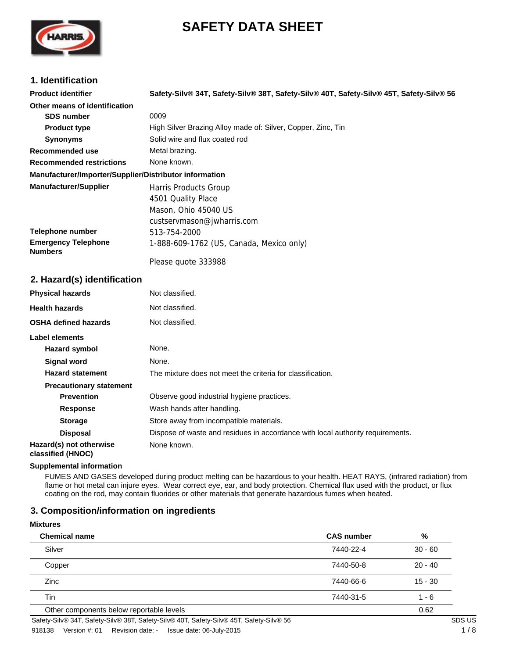# **SAFETY DATA SHEET**



# **1. Identification**

| <b>Product identifier</b>                              | Safety-Silv® 34T, Safety-Silv® 38T, Safety-Silv® 40T, Safety-Silv® 45T, Safety-Silv® 56 |
|--------------------------------------------------------|-----------------------------------------------------------------------------------------|
| Other means of identification                          |                                                                                         |
| <b>SDS number</b>                                      | 0009                                                                                    |
| <b>Product type</b>                                    | High Silver Brazing Alloy made of: Silver, Copper, Zinc, Tin                            |
| <b>Synonyms</b>                                        | Solid wire and flux coated rod                                                          |
| Recommended use                                        | Metal brazing.                                                                          |
| <b>Recommended restrictions</b>                        | None known.                                                                             |
| Manufacturer/Importer/Supplier/Distributor information |                                                                                         |
| <b>Manufacturer/Supplier</b>                           | Harris Products Group                                                                   |
|                                                        | 4501 Quality Place                                                                      |
|                                                        | Mason, Ohio 45040 US                                                                    |
|                                                        | custservmason@jwharris.com                                                              |
| <b>Telephone number</b>                                | 513-754-2000                                                                            |
| <b>Emergency Telephone</b><br><b>Numbers</b>           | 1-888-609-1762 (US, Canada, Mexico only)                                                |
|                                                        | Please quote 333988                                                                     |
|                                                        |                                                                                         |

# **2. Hazard(s) identification**

| <b>Physical hazards</b>                      | Not classified.                                                                |
|----------------------------------------------|--------------------------------------------------------------------------------|
| <b>Health hazards</b>                        | Not classified.                                                                |
| <b>OSHA defined hazards</b>                  | Not classified.                                                                |
| Label elements                               |                                                                                |
| Hazard symbol                                | None.                                                                          |
| <b>Signal word</b>                           | None.                                                                          |
| <b>Hazard statement</b>                      | The mixture does not meet the criteria for classification.                     |
| <b>Precautionary statement</b>               |                                                                                |
| <b>Prevention</b>                            | Observe good industrial hygiene practices.                                     |
| <b>Response</b>                              | Wash hands after handling.                                                     |
| <b>Storage</b>                               | Store away from incompatible materials.                                        |
| <b>Disposal</b>                              | Dispose of waste and residues in accordance with local authority requirements. |
| Hazard(s) not otherwise<br>classified (HNOC) | None known.                                                                    |

### **Supplemental information**

FUMES AND GASES developed during product melting can be hazardous to your health. HEAT RAYS, (infrared radiation) from flame or hot metal can injure eyes. Wear correct eye, ear, and body protection. Chemical flux used with the product, or flux coating on the rod, may contain fluorides or other materials that generate hazardous fumes when heated.

# **3. Composition/information on ingredients**

#### **Mixtures**

| <b>Chemical name</b>                     | <b>CAS number</b> | %         |  |
|------------------------------------------|-------------------|-----------|--|
| Silver                                   | 7440-22-4         | $30 - 60$ |  |
| Copper                                   | 7440-50-8         | $20 - 40$ |  |
| Zinc                                     | 7440-66-6         | $15 - 30$ |  |
| Tin                                      | 7440-31-5         | $1 - 6$   |  |
| Other components below reportable levels |                   | 0.62      |  |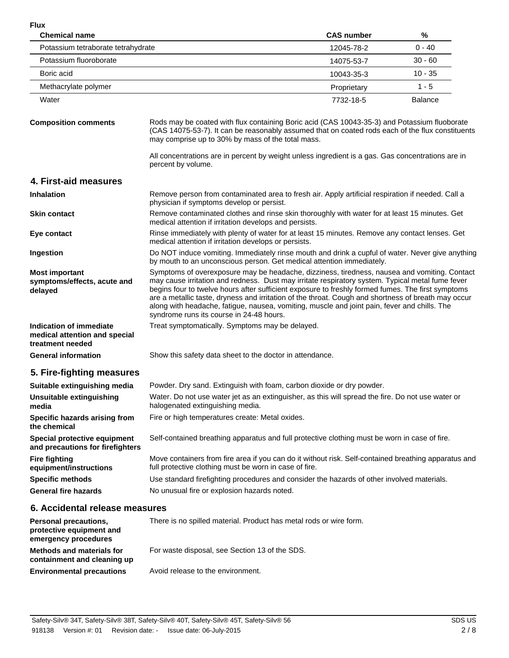**Flux**

| <b>FIUX</b><br><b>Chemical name</b>                                          |                                                                                                                                                                                                                                                                                                                                                                                                                                                                                                                                                          | <b>CAS number</b> | %              |  |
|------------------------------------------------------------------------------|----------------------------------------------------------------------------------------------------------------------------------------------------------------------------------------------------------------------------------------------------------------------------------------------------------------------------------------------------------------------------------------------------------------------------------------------------------------------------------------------------------------------------------------------------------|-------------------|----------------|--|
| Potassium tetraborate tetrahydrate                                           |                                                                                                                                                                                                                                                                                                                                                                                                                                                                                                                                                          | 12045-78-2        | $0 - 40$       |  |
| Potassium fluoroborate                                                       |                                                                                                                                                                                                                                                                                                                                                                                                                                                                                                                                                          | 14075-53-7        | $30 - 60$      |  |
| Boric acid                                                                   |                                                                                                                                                                                                                                                                                                                                                                                                                                                                                                                                                          | 10043-35-3        | $10 - 35$      |  |
| Methacrylate polymer                                                         |                                                                                                                                                                                                                                                                                                                                                                                                                                                                                                                                                          | Proprietary       | $1 - 5$        |  |
| Water                                                                        |                                                                                                                                                                                                                                                                                                                                                                                                                                                                                                                                                          | 7732-18-5         | <b>Balance</b> |  |
| <b>Composition comments</b>                                                  | Rods may be coated with flux containing Boric acid (CAS 10043-35-3) and Potassium fluoborate<br>(CAS 14075-53-7). It can be reasonably assumed that on coated rods each of the flux constituents<br>may comprise up to 30% by mass of the total mass.                                                                                                                                                                                                                                                                                                    |                   |                |  |
|                                                                              | All concentrations are in percent by weight unless ingredient is a gas. Gas concentrations are in<br>percent by volume.                                                                                                                                                                                                                                                                                                                                                                                                                                  |                   |                |  |
| 4. First-aid measures                                                        |                                                                                                                                                                                                                                                                                                                                                                                                                                                                                                                                                          |                   |                |  |
| <b>Inhalation</b>                                                            | Remove person from contaminated area to fresh air. Apply artificial respiration if needed. Call a<br>physician if symptoms develop or persist.                                                                                                                                                                                                                                                                                                                                                                                                           |                   |                |  |
| <b>Skin contact</b>                                                          | Remove contaminated clothes and rinse skin thoroughly with water for at least 15 minutes. Get<br>medical attention if irritation develops and persists.                                                                                                                                                                                                                                                                                                                                                                                                  |                   |                |  |
| Eye contact                                                                  | Rinse immediately with plenty of water for at least 15 minutes. Remove any contact lenses. Get<br>medical attention if irritation develops or persists.                                                                                                                                                                                                                                                                                                                                                                                                  |                   |                |  |
| Ingestion                                                                    | Do NOT induce vomiting. Immediately rinse mouth and drink a cupful of water. Never give anything<br>by mouth to an unconscious person. Get medical attention immediately.                                                                                                                                                                                                                                                                                                                                                                                |                   |                |  |
| <b>Most important</b><br>symptoms/effects, acute and<br>delayed              | Symptoms of overexposure may be headache, dizziness, tiredness, nausea and vomiting. Contact<br>may cause irritation and redness. Dust may irritate respiratory system. Typical metal fume fever<br>begins four to twelve hours after sufficient exposure to freshly formed fumes. The first symptoms<br>are a metallic taste, dryness and irritation of the throat. Cough and shortness of breath may occur<br>along with headache, fatigue, nausea, vomiting, muscle and joint pain, fever and chills. The<br>syndrome runs its course in 24-48 hours. |                   |                |  |
| Indication of immediate<br>medical attention and special<br>treatment needed | Treat symptomatically. Symptoms may be delayed.                                                                                                                                                                                                                                                                                                                                                                                                                                                                                                          |                   |                |  |
| <b>General information</b>                                                   | Show this safety data sheet to the doctor in attendance.                                                                                                                                                                                                                                                                                                                                                                                                                                                                                                 |                   |                |  |
| 5. Fire-fighting measures                                                    |                                                                                                                                                                                                                                                                                                                                                                                                                                                                                                                                                          |                   |                |  |
| Suitable extinguishing media                                                 | Powder. Dry sand. Extinguish with foam, carbon dioxide or dry powder.                                                                                                                                                                                                                                                                                                                                                                                                                                                                                    |                   |                |  |
| <b>Unsuitable extinguishing</b><br>media                                     | Water. Do not use water jet as an extinguisher, as this will spread the fire. Do not use water or<br>halogenated extinguishing media.                                                                                                                                                                                                                                                                                                                                                                                                                    |                   |                |  |
| Specific hazards arising from<br>the chemical                                | Fire or high temperatures create: Metal oxides.                                                                                                                                                                                                                                                                                                                                                                                                                                                                                                          |                   |                |  |
| Special protective equipment<br>and precautions for firefighters             | Self-contained breathing apparatus and full protective clothing must be worn in case of fire.                                                                                                                                                                                                                                                                                                                                                                                                                                                            |                   |                |  |
| <b>Fire fighting</b><br>equipment/instructions                               | Move containers from fire area if you can do it without risk. Self-contained breathing apparatus and<br>full protective clothing must be worn in case of fire.                                                                                                                                                                                                                                                                                                                                                                                           |                   |                |  |
| <b>Specific methods</b>                                                      | Use standard firefighting procedures and consider the hazards of other involved materials.                                                                                                                                                                                                                                                                                                                                                                                                                                                               |                   |                |  |
| <b>General fire hazards</b>                                                  | No unusual fire or explosion hazards noted.                                                                                                                                                                                                                                                                                                                                                                                                                                                                                                              |                   |                |  |
| 6. Accidental release measures                                               |                                                                                                                                                                                                                                                                                                                                                                                                                                                                                                                                                          |                   |                |  |
| Personal precautions,<br>protective equipment and<br>emergency procedures    | There is no spilled material. Product has metal rods or wire form.                                                                                                                                                                                                                                                                                                                                                                                                                                                                                       |                   |                |  |
| <b>Methods and materials for</b><br>containment and cleaning up              | For waste disposal, see Section 13 of the SDS.                                                                                                                                                                                                                                                                                                                                                                                                                                                                                                           |                   |                |  |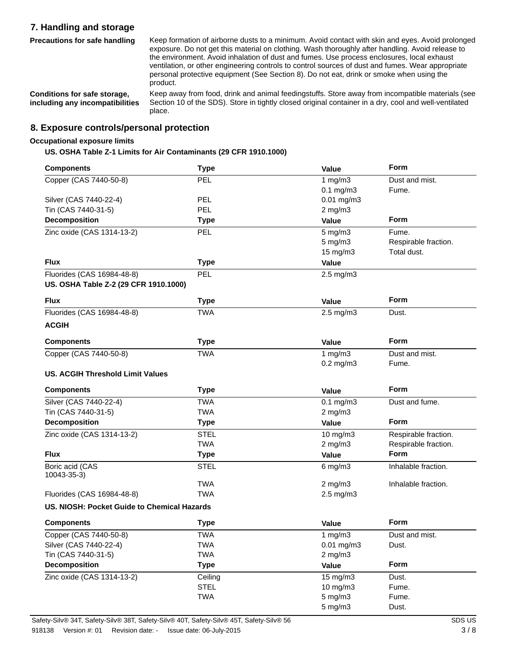# **7. Handling and storage**

**Precautions for safe handling**

Keep formation of airborne dusts to a minimum. Avoid contact with skin and eyes. Avoid prolonged exposure. Do not get this material on clothing. Wash thoroughly after handling. Avoid release to the environment. Avoid inhalation of dust and fumes. Use process enclosures, local exhaust ventilation, or other engineering controls to control sources of dust and fumes. Wear appropriate personal protective equipment (See Section 8). Do not eat, drink or smoke when using the product.

**Conditions for safe storage, including any incompatibilities**

Keep away from food, drink and animal feedingstuffs. Store away from incompatible materials (see Section 10 of the SDS). Store in tightly closed original container in a dry, cool and well-ventilated place.

# **8. Exposure controls/personal protection**

### **Occupational exposure limits**

**US. OSHA Table Z-1 Limits for Air Contaminants (29 CFR 1910.1000)**

| <b>Components</b>                           | <b>Type</b> | Value                | Form                 |
|---------------------------------------------|-------------|----------------------|----------------------|
| Copper (CAS 7440-50-8)                      | PEL         | 1 mg/m $3$           | Dust and mist.       |
|                                             |             | $0.1$ mg/m $3$       | Fume.                |
| Silver (CAS 7440-22-4)                      | PEL         | 0.01 mg/m3           |                      |
| Tin (CAS 7440-31-5)                         | <b>PEL</b>  | $2$ mg/m $3$         |                      |
| Decomposition                               | <b>Type</b> | Value                | <b>Form</b>          |
| Zinc oxide (CAS 1314-13-2)                  | <b>PEL</b>  | $5$ mg/m $3$         | Fume.                |
|                                             |             | $5$ mg/m $3$         | Respirable fraction. |
|                                             |             | 15 mg/m3             | Total dust.          |
| <b>Flux</b>                                 | <b>Type</b> | Value                |                      |
| Fluorides (CAS 16984-48-8)                  | PEL         | $2.5 \text{ mg/m}$ 3 |                      |
| US. OSHA Table Z-2 (29 CFR 1910.1000)       |             |                      |                      |
| <b>Flux</b>                                 | <b>Type</b> | <b>Value</b>         | Form                 |
| Fluorides (CAS 16984-48-8)                  | <b>TWA</b>  | $2.5$ mg/m $3$       | Dust.                |
| <b>ACGIH</b>                                |             |                      |                      |
| <b>Components</b>                           | <b>Type</b> | Value                | Form                 |
| Copper (CAS 7440-50-8)                      | <b>TWA</b>  | 1 mg/m $3$           | Dust and mist.       |
|                                             |             | $0.2$ mg/m $3$       | Fume.                |
| <b>US. ACGIH Threshold Limit Values</b>     |             |                      |                      |
| <b>Components</b>                           | <b>Type</b> | <b>Value</b>         | Form                 |
| Silver (CAS 7440-22-4)                      | <b>TWA</b>  | $0.1$ mg/m $3$       | Dust and fume.       |
| Tin (CAS 7440-31-5)                         | <b>TWA</b>  | $2$ mg/m $3$         |                      |
| Decomposition                               | <b>Type</b> | <b>Value</b>         | Form                 |
| Zinc oxide (CAS 1314-13-2)                  | <b>STEL</b> | 10 mg/m3             | Respirable fraction. |
|                                             | <b>TWA</b>  | $2$ mg/m $3$         | Respirable fraction. |
| <b>Flux</b>                                 | <b>Type</b> | Value                | Form                 |
| Boric acid (CAS<br>10043-35-3)              | <b>STEL</b> | $6$ mg/m $3$         | Inhalable fraction.  |
|                                             | <b>TWA</b>  | $2$ mg/m $3$         | Inhalable fraction.  |
| Fluorides (CAS 16984-48-8)                  | <b>TWA</b>  | 2.5 mg/m3            |                      |
| US. NIOSH: Pocket Guide to Chemical Hazards |             |                      |                      |
| <b>Components</b>                           | <b>Type</b> | Value                | Form                 |
| Copper (CAS 7440-50-8)                      | <b>TWA</b>  | 1 $mg/m3$            | Dust and mist.       |
| Silver (CAS 7440-22-4)                      | <b>TWA</b>  | 0.01 mg/m3           | Dust.                |
| Tin (CAS 7440-31-5)                         | <b>TWA</b>  | $2$ mg/m $3$         |                      |
| <b>Decomposition</b>                        | <b>Type</b> | Value                | Form                 |
| Zinc oxide (CAS 1314-13-2)                  | Ceiling     | 15 mg/m3             | Dust.                |
|                                             | <b>STEL</b> | 10 mg/m3             | Fume.                |
|                                             | <b>TWA</b>  | $5$ mg/m $3$         | Fume.                |
|                                             |             | $5$ mg/m $3$         | Dust.                |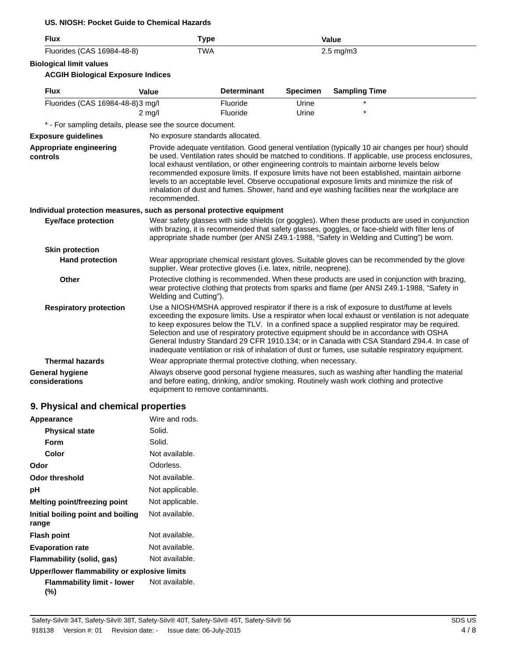### **US. NIOSH: Pocket Guide to Chemical Hazards**

| <b>Flux</b>                                                           | <b>Type</b>                                                                                                                                                                                                              |                    |                 | <b>Value</b>                                                                                                                                                                                                                                                                                                                                                                               |                                                                                                                                                                                                         |
|-----------------------------------------------------------------------|--------------------------------------------------------------------------------------------------------------------------------------------------------------------------------------------------------------------------|--------------------|-----------------|--------------------------------------------------------------------------------------------------------------------------------------------------------------------------------------------------------------------------------------------------------------------------------------------------------------------------------------------------------------------------------------------|---------------------------------------------------------------------------------------------------------------------------------------------------------------------------------------------------------|
| Fluorides (CAS 16984-48-8)                                            | <b>TWA</b>                                                                                                                                                                                                               |                    |                 | $2.5 \text{ mg/m}$ 3                                                                                                                                                                                                                                                                                                                                                                       |                                                                                                                                                                                                         |
| <b>Biological limit values</b>                                        |                                                                                                                                                                                                                          |                    |                 |                                                                                                                                                                                                                                                                                                                                                                                            |                                                                                                                                                                                                         |
| <b>ACGIH Biological Exposure Indices</b>                              |                                                                                                                                                                                                                          |                    |                 |                                                                                                                                                                                                                                                                                                                                                                                            |                                                                                                                                                                                                         |
| <b>Flux</b>                                                           | <b>Value</b>                                                                                                                                                                                                             | <b>Determinant</b> | <b>Specimen</b> | <b>Sampling Time</b>                                                                                                                                                                                                                                                                                                                                                                       |                                                                                                                                                                                                         |
| Fluorides (CAS 16984-48-8)3 mg/l                                      |                                                                                                                                                                                                                          | Fluoride           | Urine           |                                                                                                                                                                                                                                                                                                                                                                                            |                                                                                                                                                                                                         |
|                                                                       | $2$ mg/l                                                                                                                                                                                                                 | Fluoride           | Urine           |                                                                                                                                                                                                                                                                                                                                                                                            |                                                                                                                                                                                                         |
| * - For sampling details, please see the source document.             |                                                                                                                                                                                                                          |                    |                 |                                                                                                                                                                                                                                                                                                                                                                                            |                                                                                                                                                                                                         |
| <b>Exposure guidelines</b>                                            | No exposure standards allocated.                                                                                                                                                                                         |                    |                 |                                                                                                                                                                                                                                                                                                                                                                                            |                                                                                                                                                                                                         |
| Appropriate engineering<br>controls                                   | recommended.                                                                                                                                                                                                             |                    |                 | local exhaust ventilation, or other engineering controls to maintain airborne levels below<br>recommended exposure limits. If exposure limits have not been established, maintain airborne<br>levels to an acceptable level. Observe occupational exposure limits and minimize the risk of<br>inhalation of dust and fumes. Shower, hand and eye washing facilities near the workplace are | Provide adequate ventilation. Good general ventilation (typically 10 air changes per hour) should<br>be used. Ventilation rates should be matched to conditions. If applicable, use process enclosures, |
| Individual protection measures, such as personal protective equipment |                                                                                                                                                                                                                          |                    |                 |                                                                                                                                                                                                                                                                                                                                                                                            |                                                                                                                                                                                                         |
| <b>Eye/face protection</b>                                            |                                                                                                                                                                                                                          |                    |                 | with brazing, it is recommended that safety glasses, goggles, or face-shield with filter lens of<br>appropriate shade number (per ANSI Z49.1-1988, "Safety in Welding and Cutting") be worn.                                                                                                                                                                                               | Wear safety glasses with side shields (or goggles). When these products are used in conjunction                                                                                                         |
| <b>Skin protection</b>                                                |                                                                                                                                                                                                                          |                    |                 |                                                                                                                                                                                                                                                                                                                                                                                            |                                                                                                                                                                                                         |
| <b>Hand protection</b>                                                | supplier. Wear protective gloves (i.e. latex, nitrile, neoprene).                                                                                                                                                        |                    |                 | Wear appropriate chemical resistant gloves. Suitable gloves can be recommended by the glove                                                                                                                                                                                                                                                                                                |                                                                                                                                                                                                         |
| Other                                                                 | Protective clothing is recommended. When these products are used in conjunction with brazing,<br>wear protective clothing that protects from sparks and flame (per ANSI Z49.1-1988, "Safety in<br>Welding and Cutting"). |                    |                 |                                                                                                                                                                                                                                                                                                                                                                                            |                                                                                                                                                                                                         |
| <b>Respiratory protection</b>                                         |                                                                                                                                                                                                                          |                    |                 | Use a NIOSH/MSHA approved respirator if there is a risk of exposure to dust/fume at levels<br>to keep exposures below the TLV. In a confined space a supplied respirator may be required.<br>Selection and use of respiratory protective equipment should be in accordance with OSHA<br>inadequate ventilation or risk of inhalation of dust or fumes, use suitable respiratory equipment. | exceeding the exposure limits. Use a respirator when local exhaust or ventilation is not adequate<br>General Industry Standard 29 CFR 1910.134; or in Canada with CSA Standard Z94.4. In case of        |
| <b>Thermal hazards</b>                                                | Wear appropriate thermal protective clothing, when necessary.                                                                                                                                                            |                    |                 |                                                                                                                                                                                                                                                                                                                                                                                            |                                                                                                                                                                                                         |
| <b>General hygiene</b><br>considerations                              | equipment to remove contaminants.                                                                                                                                                                                        |                    |                 | Always observe good personal hygiene measures, such as washing after handling the material<br>and before eating, drinking, and/or smoking. Routinely wash work clothing and protective                                                                                                                                                                                                     |                                                                                                                                                                                                         |

# **9. Physical and chemical properties**

| Appearance                                   | Wire and rods.  |  |  |
|----------------------------------------------|-----------------|--|--|
| <b>Physical state</b>                        | Solid.          |  |  |
| Form                                         | Solid.          |  |  |
| Color                                        | Not available.  |  |  |
| Odor                                         | Odorless.       |  |  |
| Odor threshold                               | Not available.  |  |  |
| рH                                           | Not applicable. |  |  |
| Melting point/freezing point                 | Not applicable. |  |  |
| Initial boiling point and boiling<br>range   | Not available.  |  |  |
| <b>Flash point</b>                           | Not available.  |  |  |
| <b>Evaporation rate</b>                      | Not available.  |  |  |
| Flammability (solid, gas)                    | Not available.  |  |  |
| Upper/lower flammability or explosive limits |                 |  |  |
| <b>Flammability limit - lower</b><br>(%)     | Not available.  |  |  |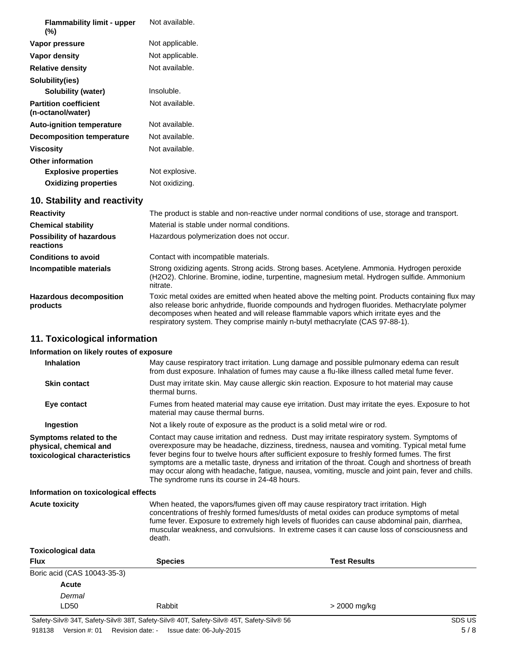| <b>Flammability limit - upper</b><br>$(\%)$       | Not available.  |
|---------------------------------------------------|-----------------|
| Vapor pressure                                    | Not applicable. |
| Vapor density                                     | Not applicable. |
| <b>Relative density</b>                           | Not available.  |
| Solubility(ies)                                   |                 |
| Solubility (water)                                | Insoluble.      |
| <b>Partition coefficient</b><br>(n-octanol/water) | Not available.  |
| <b>Auto-ignition temperature</b>                  | Not available.  |
| <b>Decomposition temperature</b>                  | Not available.  |
| <b>Viscosity</b>                                  | Not available.  |
| <b>Other information</b>                          |                 |
| <b>Explosive properties</b>                       | Not explosive.  |
| <b>Oxidizing properties</b>                       | Not oxidizing.  |
| 10. Stability and reactivity                      |                 |

| <b>Reactivity</b>                            | The product is stable and non-reactive under normal conditions of use, storage and transport.                                                                                                                                                                                                                                                                             |
|----------------------------------------------|---------------------------------------------------------------------------------------------------------------------------------------------------------------------------------------------------------------------------------------------------------------------------------------------------------------------------------------------------------------------------|
| <b>Chemical stability</b>                    | Material is stable under normal conditions.                                                                                                                                                                                                                                                                                                                               |
| <b>Possibility of hazardous</b><br>reactions | Hazardous polymerization does not occur.                                                                                                                                                                                                                                                                                                                                  |
| <b>Conditions to avoid</b>                   | Contact with incompatible materials.                                                                                                                                                                                                                                                                                                                                      |
| Incompatible materials                       | Strong oxidizing agents. Strong acids. Strong bases. Acetylene. Ammonia. Hydrogen peroxide<br>(H2O2). Chlorine. Bromine, iodine, turpentine, magnesium metal. Hydrogen sulfide. Ammonium<br>nitrate.                                                                                                                                                                      |
| <b>Hazardous decomposition</b><br>products   | Toxic metal oxides are emitted when heated above the melting point. Products containing flux may<br>also release boric anhydride, fluoride compounds and hydrogen fluorides. Methacrylate polymer<br>decomposes when heated and will release flammable vapors which irritate eyes and the<br>respiratory system. They comprise mainly n-butyl methacrylate (CAS 97-88-1). |

# **11. Toxicological information**

# **Information on likely routes of exposure**

| <b>Inhalation</b>                                                                  | May cause respiratory tract irritation. Lung damage and possible pulmonary edema can result<br>from dust exposure. Inhalation of fumes may cause a flu-like illness called metal fume fever.                                                                                                                                                                                                                                                                                                                                                             |                                                                                                                                                                                                                                                                                                                                                                                     |  |
|------------------------------------------------------------------------------------|----------------------------------------------------------------------------------------------------------------------------------------------------------------------------------------------------------------------------------------------------------------------------------------------------------------------------------------------------------------------------------------------------------------------------------------------------------------------------------------------------------------------------------------------------------|-------------------------------------------------------------------------------------------------------------------------------------------------------------------------------------------------------------------------------------------------------------------------------------------------------------------------------------------------------------------------------------|--|
| <b>Skin contact</b>                                                                | thermal burns.                                                                                                                                                                                                                                                                                                                                                                                                                                                                                                                                           | Dust may irritate skin. May cause allergic skin reaction. Exposure to hot material may cause                                                                                                                                                                                                                                                                                        |  |
| Eye contact                                                                        | material may cause thermal burns.                                                                                                                                                                                                                                                                                                                                                                                                                                                                                                                        | Fumes from heated material may cause eye irritation. Dust may irritate the eyes. Exposure to hot                                                                                                                                                                                                                                                                                    |  |
| Ingestion                                                                          |                                                                                                                                                                                                                                                                                                                                                                                                                                                                                                                                                          | Not a likely route of exposure as the product is a solid metal wire or rod.                                                                                                                                                                                                                                                                                                         |  |
| Symptoms related to the<br>physical, chemical and<br>toxicological characteristics | Contact may cause irritation and redness. Dust may irritate respiratory system. Symptoms of<br>overexposure may be headache, dizziness, tiredness, nausea and vomiting. Typical metal fume<br>fever begins four to twelve hours after sufficient exposure to freshly formed fumes. The first<br>symptoms are a metallic taste, dryness and irritation of the throat. Cough and shortness of breath<br>may occur along with headache, fatigue, nausea, vomiting, muscle and joint pain, fever and chills.<br>The syndrome runs its course in 24-48 hours. |                                                                                                                                                                                                                                                                                                                                                                                     |  |
| Information on toxicological effects                                               |                                                                                                                                                                                                                                                                                                                                                                                                                                                                                                                                                          |                                                                                                                                                                                                                                                                                                                                                                                     |  |
| <b>Acute toxicity</b>                                                              | death.                                                                                                                                                                                                                                                                                                                                                                                                                                                                                                                                                   | When heated, the vapors/fumes given off may cause respiratory tract irritation. High<br>concentrations of freshly formed fumes/dusts of metal oxides can produce symptoms of metal<br>fume fever. Exposure to extremely high levels of fluorides can cause abdominal pain, diarrhea,<br>muscular weakness, and convulsions. In extreme cases it can cause loss of consciousness and |  |
| <b>Toxicological data</b>                                                          |                                                                                                                                                                                                                                                                                                                                                                                                                                                                                                                                                          |                                                                                                                                                                                                                                                                                                                                                                                     |  |
| <b>Flux</b>                                                                        | <b>Species</b>                                                                                                                                                                                                                                                                                                                                                                                                                                                                                                                                           | <b>Test Results</b>                                                                                                                                                                                                                                                                                                                                                                 |  |
| Boric acid (CAS 10043-35-3)                                                        |                                                                                                                                                                                                                                                                                                                                                                                                                                                                                                                                                          |                                                                                                                                                                                                                                                                                                                                                                                     |  |
| Acute                                                                              |                                                                                                                                                                                                                                                                                                                                                                                                                                                                                                                                                          |                                                                                                                                                                                                                                                                                                                                                                                     |  |
| Dermal                                                                             |                                                                                                                                                                                                                                                                                                                                                                                                                                                                                                                                                          |                                                                                                                                                                                                                                                                                                                                                                                     |  |
| LD50                                                                               | Rabbit                                                                                                                                                                                                                                                                                                                                                                                                                                                                                                                                                   | > 2000 mg/kg                                                                                                                                                                                                                                                                                                                                                                        |  |
|                                                                                    |                                                                                                                                                                                                                                                                                                                                                                                                                                                                                                                                                          |                                                                                                                                                                                                                                                                                                                                                                                     |  |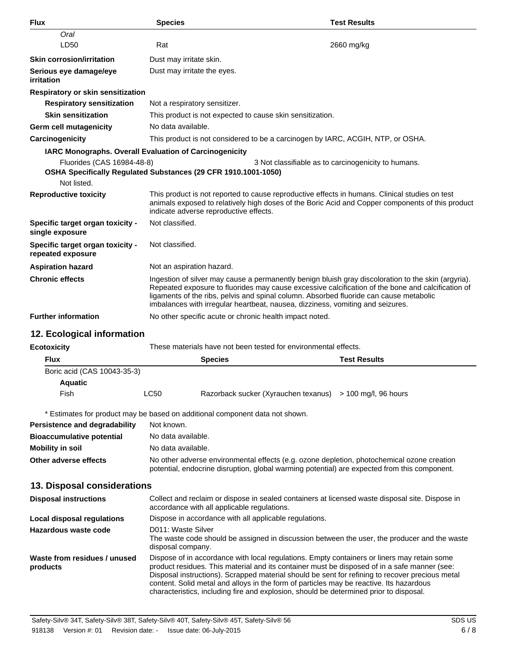| <b>Flux</b>                                           | <b>Species</b>                                                 | <b>Test Results</b>                                                                                                                                                                                                                                                                                                                                                                  |
|-------------------------------------------------------|----------------------------------------------------------------|--------------------------------------------------------------------------------------------------------------------------------------------------------------------------------------------------------------------------------------------------------------------------------------------------------------------------------------------------------------------------------------|
| Oral                                                  |                                                                |                                                                                                                                                                                                                                                                                                                                                                                      |
| LD50                                                  | Rat                                                            | 2660 mg/kg                                                                                                                                                                                                                                                                                                                                                                           |
| <b>Skin corrosion/irritation</b>                      | Dust may irritate skin.                                        |                                                                                                                                                                                                                                                                                                                                                                                      |
| Serious eye damage/eye<br><i>irritation</i>           | Dust may irritate the eyes.                                    |                                                                                                                                                                                                                                                                                                                                                                                      |
| Respiratory or skin sensitization                     |                                                                |                                                                                                                                                                                                                                                                                                                                                                                      |
| <b>Respiratory sensitization</b>                      | Not a respiratory sensitizer.                                  |                                                                                                                                                                                                                                                                                                                                                                                      |
| <b>Skin sensitization</b>                             | This product is not expected to cause skin sensitization.      |                                                                                                                                                                                                                                                                                                                                                                                      |
| Germ cell mutagenicity                                | No data available.                                             |                                                                                                                                                                                                                                                                                                                                                                                      |
| Carcinogenicity                                       |                                                                | This product is not considered to be a carcinogen by IARC, ACGIH, NTP, or OSHA.                                                                                                                                                                                                                                                                                                      |
|                                                       | <b>IARC Monographs. Overall Evaluation of Carcinogenicity</b>  |                                                                                                                                                                                                                                                                                                                                                                                      |
| Fluorides (CAS 16984-48-8)                            | OSHA Specifically Regulated Substances (29 CFR 1910.1001-1050) | 3 Not classifiable as to carcinogenicity to humans.                                                                                                                                                                                                                                                                                                                                  |
| Not listed.                                           |                                                                |                                                                                                                                                                                                                                                                                                                                                                                      |
| <b>Reproductive toxicity</b>                          | indicate adverse reproductive effects.                         | This product is not reported to cause reproductive effects in humans. Clinical studies on test<br>animals exposed to relatively high doses of the Boric Acid and Copper components of this product                                                                                                                                                                                   |
| Specific target organ toxicity -<br>single exposure   | Not classified.                                                |                                                                                                                                                                                                                                                                                                                                                                                      |
| Specific target organ toxicity -<br>repeated exposure | Not classified.                                                |                                                                                                                                                                                                                                                                                                                                                                                      |
| <b>Aspiration hazard</b>                              | Not an aspiration hazard.                                      |                                                                                                                                                                                                                                                                                                                                                                                      |
| <b>Chronic effects</b>                                |                                                                | Ingestion of silver may cause a permanently benign bluish gray discoloration to the skin (argyria).<br>Repeated exposure to fluorides may cause excessive calcification of the bone and calcification of<br>ligaments of the ribs, pelvis and spinal column. Absorbed fluoride can cause metabolic<br>imbalances with irregular heartbeat, nausea, dizziness, vomiting and seizures. |
| <b>Further information</b>                            | No other specific acute or chronic health impact noted.        |                                                                                                                                                                                                                                                                                                                                                                                      |
| 12. Ecological information                            |                                                                |                                                                                                                                                                                                                                                                                                                                                                                      |
| <b>Ecotoxicity</b>                                    |                                                                | These materials have not been tested for environmental effects.                                                                                                                                                                                                                                                                                                                      |
| <b>Flux</b>                                           | Snecies                                                        | <b>Test Results</b>                                                                                                                                                                                                                                                                                                                                                                  |

| <b>Flux</b>                 |      | <b>Species</b>                                              | <b>Test Results</b> |
|-----------------------------|------|-------------------------------------------------------------|---------------------|
| Boric acid (CAS 10043-35-3) |      |                                                             |                     |
| <b>Aquatic</b>              |      |                                                             |                     |
| Fish                        | LC50 | Razorback sucker (Xyrauchen texanus) $> 100$ mg/l, 96 hours |                     |

\* Estimates for product may be based on additional component data not shown.

| Persistence and degradability    | Not known.                                                                                                                                                                                 |
|----------------------------------|--------------------------------------------------------------------------------------------------------------------------------------------------------------------------------------------|
| <b>Bioaccumulative potential</b> | No data available.                                                                                                                                                                         |
| Mobility in soil                 | No data available.                                                                                                                                                                         |
| Other adverse effects            | No other adverse environmental effects (e.g. ozone depletion, photochemical ozone creation<br>potential, endocrine disruption, global warming potential) are expected from this component. |

# **13. Disposal considerations**

| <b>Disposal instructions</b>             | Collect and reclaim or dispose in sealed containers at licensed waste disposal site. Dispose in<br>accordance with all applicable regulations.                                                                                                                                                                                                                                                                                                                                      |
|------------------------------------------|-------------------------------------------------------------------------------------------------------------------------------------------------------------------------------------------------------------------------------------------------------------------------------------------------------------------------------------------------------------------------------------------------------------------------------------------------------------------------------------|
| Local disposal regulations               | Dispose in accordance with all applicable regulations.                                                                                                                                                                                                                                                                                                                                                                                                                              |
| Hazardous waste code                     | D011: Waste Silver<br>The waste code should be assigned in discussion between the user, the producer and the waste<br>disposal company.                                                                                                                                                                                                                                                                                                                                             |
| Waste from residues / unused<br>products | Dispose of in accordance with local regulations. Empty containers or liners may retain some<br>product residues. This material and its container must be disposed of in a safe manner (see:<br>Disposal instructions). Scrapped material should be sent for refining to recover precious metal<br>content. Solid metal and alloys in the form of particles may be reactive. Its hazardous<br>characteristics, including fire and explosion, should be determined prior to disposal. |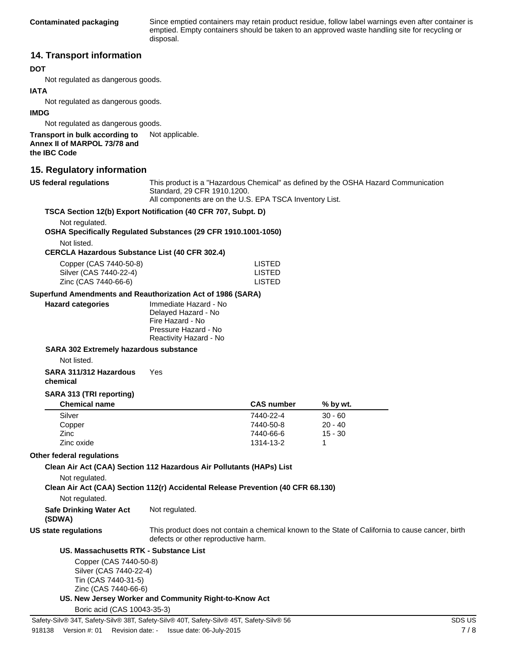Since emptied containers may retain product residue, follow label warnings even after container is emptied. Empty containers should be taken to an approved waste handling site for recycling or disposal.

# **14. Transport information**

### **DOT**

Not regulated as dangerous goods.

### **IATA**

Not regulated as dangerous goods.

### **IMDG**

Not regulated as dangerous goods.

**Transport in bulk according to** Not applicable. **Annex II of MARPOL 73/78 and the IBC Code**

### **15. Regulatory information**

**US federal regulations**

This product is a "Hazardous Chemical" as defined by the OSHA Hazard Communication Standard, 29 CFR 1910.1200.

All components are on the U.S. EPA TSCA Inventory List.

|                                                                                                 | All components are on the U.S. EPA TSCA Inventory List.                                                            |                   |                                                                                                  |  |
|-------------------------------------------------------------------------------------------------|--------------------------------------------------------------------------------------------------------------------|-------------------|--------------------------------------------------------------------------------------------------|--|
|                                                                                                 | TSCA Section 12(b) Export Notification (40 CFR 707, Subpt. D)                                                      |                   |                                                                                                  |  |
| Not regulated.                                                                                  |                                                                                                                    |                   |                                                                                                  |  |
|                                                                                                 | OSHA Specifically Regulated Substances (29 CFR 1910.1001-1050)                                                     |                   |                                                                                                  |  |
| Not listed.                                                                                     |                                                                                                                    |                   |                                                                                                  |  |
| <b>CERCLA Hazardous Substance List (40 CFR 302.4)</b>                                           |                                                                                                                    |                   |                                                                                                  |  |
| Copper (CAS 7440-50-8)                                                                          |                                                                                                                    | <b>LISTED</b>     |                                                                                                  |  |
| Silver (CAS 7440-22-4)                                                                          |                                                                                                                    | <b>LISTED</b>     |                                                                                                  |  |
| Zinc (CAS 7440-66-6)                                                                            |                                                                                                                    | <b>LISTED</b>     |                                                                                                  |  |
| Superfund Amendments and Reauthorization Act of 1986 (SARA)                                     |                                                                                                                    |                   |                                                                                                  |  |
| <b>Hazard categories</b>                                                                        | Immediate Hazard - No<br>Delayed Hazard - No<br>Fire Hazard - No<br>Pressure Hazard - No<br>Reactivity Hazard - No |                   |                                                                                                  |  |
| SARA 302 Extremely hazardous substance                                                          |                                                                                                                    |                   |                                                                                                  |  |
| Not listed.                                                                                     |                                                                                                                    |                   |                                                                                                  |  |
| SARA 311/312 Hazardous<br>chemical                                                              | Yes                                                                                                                |                   |                                                                                                  |  |
| SARA 313 (TRI reporting)                                                                        |                                                                                                                    |                   |                                                                                                  |  |
| <b>Chemical name</b>                                                                            |                                                                                                                    | <b>CAS number</b> | % by wt.                                                                                         |  |
| Silver                                                                                          |                                                                                                                    | 7440-22-4         | $30 - 60$                                                                                        |  |
| Copper                                                                                          |                                                                                                                    | 7440-50-8         | $20 - 40$                                                                                        |  |
| Zinc                                                                                            |                                                                                                                    | 7440-66-6         | $15 - 30$                                                                                        |  |
| Zinc oxide                                                                                      |                                                                                                                    | 1314-13-2         | 1                                                                                                |  |
| Other federal regulations                                                                       |                                                                                                                    |                   |                                                                                                  |  |
|                                                                                                 | Clean Air Act (CAA) Section 112 Hazardous Air Pollutants (HAPs) List                                               |                   |                                                                                                  |  |
| Not regulated.                                                                                  | Clean Air Act (CAA) Section 112(r) Accidental Release Prevention (40 CFR 68.130)                                   |                   |                                                                                                  |  |
| Not regulated.                                                                                  |                                                                                                                    |                   |                                                                                                  |  |
| <b>Safe Drinking Water Act</b><br>(SDWA)                                                        | Not regulated.                                                                                                     |                   |                                                                                                  |  |
| US state regulations                                                                            | defects or other reproductive harm.                                                                                |                   | This product does not contain a chemical known to the State of California to cause cancer, birth |  |
| US. Massachusetts RTK - Substance List                                                          |                                                                                                                    |                   |                                                                                                  |  |
| Copper (CAS 7440-50-8)<br>Silver (CAS 7440-22-4)<br>Tin (CAS 7440-31-5)<br>Zinc (CAS 7440-66-6) |                                                                                                                    |                   |                                                                                                  |  |
|                                                                                                 | US. New Jersey Worker and Community Right-to-Know Act                                                              |                   |                                                                                                  |  |
| Boric acid (CAS 10043-35-3)                                                                     |                                                                                                                    |                   |                                                                                                  |  |